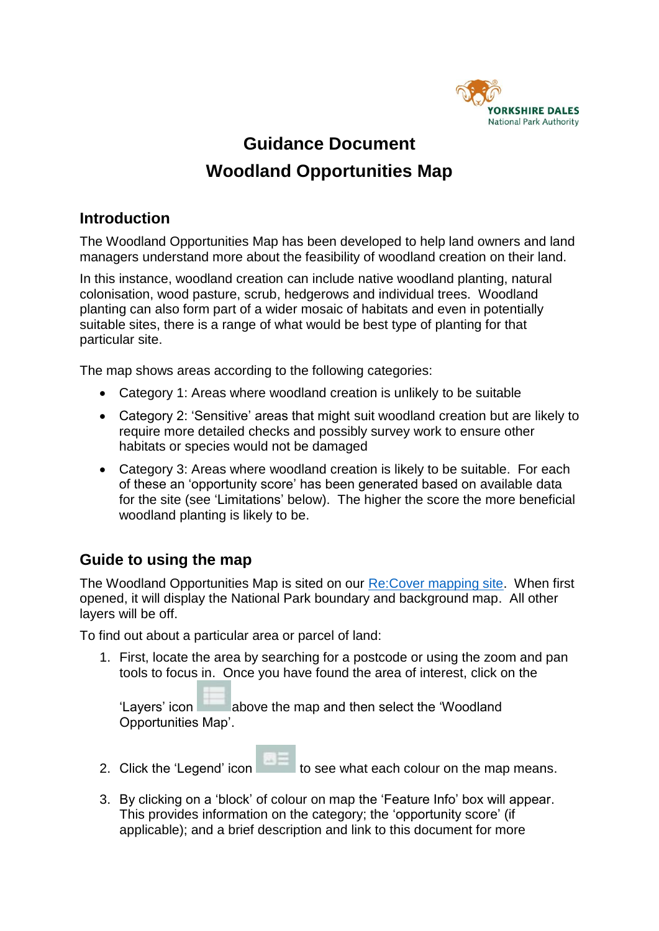

# **Guidance Document Woodland Opportunities Map**

### **Introduction**

The Woodland Opportunities Map has been developed to help land owners and land managers understand more about the feasibility of woodland creation on their land.

In this instance, woodland creation can include native woodland planting, natural colonisation, wood pasture, scrub, hedgerows and individual trees. Woodland planting can also form part of a wider mosaic of habitats and even in potentially suitable sites, there is a range of what would be best type of planting for that particular site.

The map shows areas according to the following categories:

- Category 1: Areas where woodland creation is unlikely to be suitable
- Category 2: 'Sensitive' areas that might suit woodland creation but are likely to require more detailed checks and possibly survey work to ensure other habitats or species would not be damaged
- Category 3: Areas where woodland creation is likely to be suitable. For each of these an 'opportunity score' has been generated based on available data for the site (see 'Limitations' below). The higher the score the more beneficial woodland planting is likely to be.

## **Guide to using the map**

The Woodland Opportunities Map is sited on our [Re:Cover mapping site.](https://www.yorkshiredales.org.uk/park-authority/living-and-working/recover-habitat-network-map/) When first opened, it will display the National Park boundary and background map. All other layers will be off.

To find out about a particular area or parcel of land:

1. First, locate the area by searching for a postcode or using the zoom and pan tools to focus in. Once you have found the area of interest, click on the

'Layers' icon above the map and then select the 'Woodland' Opportunities Map'.

- 
- 2. Click the 'Legend' icon the see what each colour on the map means.
- 3. By clicking on a 'block' of colour on map the 'Feature Info' box will appear. This provides information on the category; the 'opportunity score' (if applicable); and a brief description and link to this document for more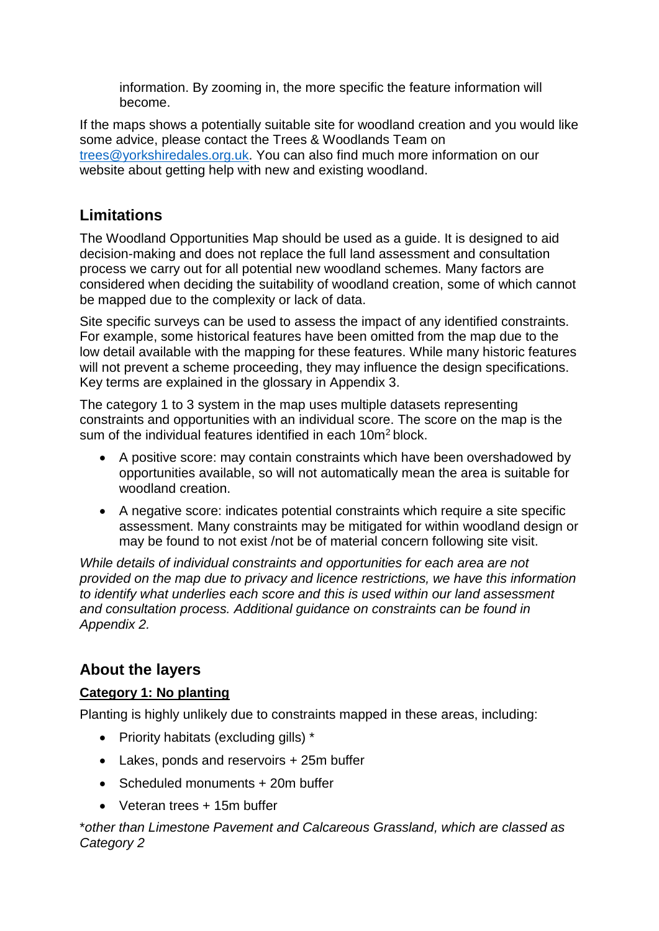information. By zooming in, the more specific the feature information will become.

If the maps shows a potentially suitable site for woodland creation and you would like some advice, please contact the Trees & Woodlands Team on [trees@yorkshiredales.org.uk.](mailto:trees@yorkshiredales.org.uk) You can also find much more information on our website about getting help with new and existing woodland.

## **Limitations**

The Woodland Opportunities Map should be used as a guide. It is designed to aid decision-making and does not replace the full land assessment and consultation process we carry out for all potential new woodland schemes. Many factors are considered when deciding the suitability of woodland creation, some of which cannot be mapped due to the complexity or lack of data.

Site specific surveys can be used to assess the impact of any identified constraints. For example, some historical features have been omitted from the map due to the low detail available with the mapping for these features. While many historic features will not prevent a scheme proceeding, they may influence the design specifications. Key terms are explained in the glossary in Appendix 3.

The category 1 to 3 system in the map uses multiple datasets representing constraints and opportunities with an individual score. The score on the map is the sum of the individual features identified in each 10m<sup>2</sup> block.

- A positive score: may contain constraints which have been overshadowed by opportunities available, so will not automatically mean the area is suitable for woodland creation.
- A negative score: indicates potential constraints which require a site specific assessment. Many constraints may be mitigated for within woodland design or may be found to not exist /not be of material concern following site visit.

*While details of individual constraints and opportunities for each area are not provided on the map due to privacy and licence restrictions, we have this information to identify what underlies each score and this is used within our land assessment and consultation process. Additional guidance on constraints can be found in Appendix 2.*

## **About the layers**

### **Category 1: No planting**

Planting is highly unlikely due to constraints mapped in these areas, including:

- Priority habitats (excluding gills) \*
- Lakes, ponds and reservoirs + 25m buffer
- Scheduled monuments + 20m buffer
- Veteran trees + 15m buffer

\**other than Limestone Pavement and Calcareous Grassland, which are classed as Category 2*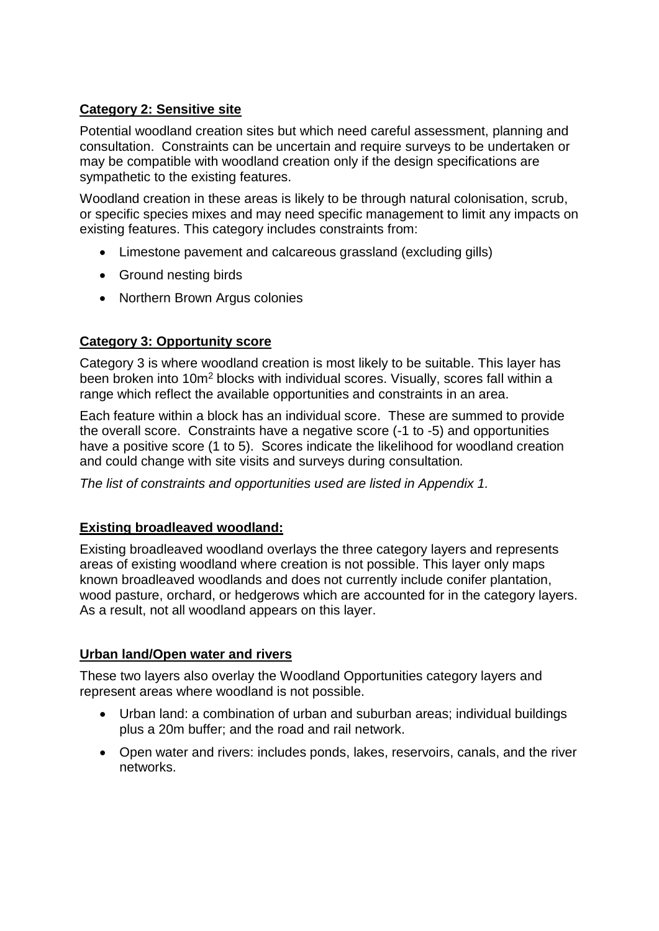### **Category 2: Sensitive site**

Potential woodland creation sites but which need careful assessment, planning and consultation. Constraints can be uncertain and require surveys to be undertaken or may be compatible with woodland creation only if the design specifications are sympathetic to the existing features.

Woodland creation in these areas is likely to be through natural colonisation, scrub, or specific species mixes and may need specific management to limit any impacts on existing features. This category includes constraints from:

- Limestone pavement and calcareous grassland (excluding gills)
- Ground nesting birds
- Northern Brown Argus colonies

### **Category 3: Opportunity score**

Category 3 is where woodland creation is most likely to be suitable. This layer has been broken into 10m<sup>2</sup> blocks with individual scores. Visually, scores fall within a range which reflect the available opportunities and constraints in an area.

Each feature within a block has an individual score. These are summed to provide the overall score. Constraints have a negative score (-1 to -5) and opportunities have a positive score (1 to 5). Scores indicate the likelihood for woodland creation and could change with site visits and surveys during consultation*.*

*The list of constraints and opportunities used are listed in Appendix 1.*

### **Existing broadleaved woodland:**

Existing broadleaved woodland overlays the three category layers and represents areas of existing woodland where creation is not possible. This layer only maps known broadleaved woodlands and does not currently include conifer plantation, wood pasture, orchard, or hedgerows which are accounted for in the category layers. As a result, not all woodland appears on this layer.

### **Urban land/Open water and rivers**

These two layers also overlay the Woodland Opportunities category layers and represent areas where woodland is not possible.

- Urban land: a combination of urban and suburban areas; individual buildings plus a 20m buffer; and the road and rail network.
- Open water and rivers: includes ponds, lakes, reservoirs, canals, and the river networks.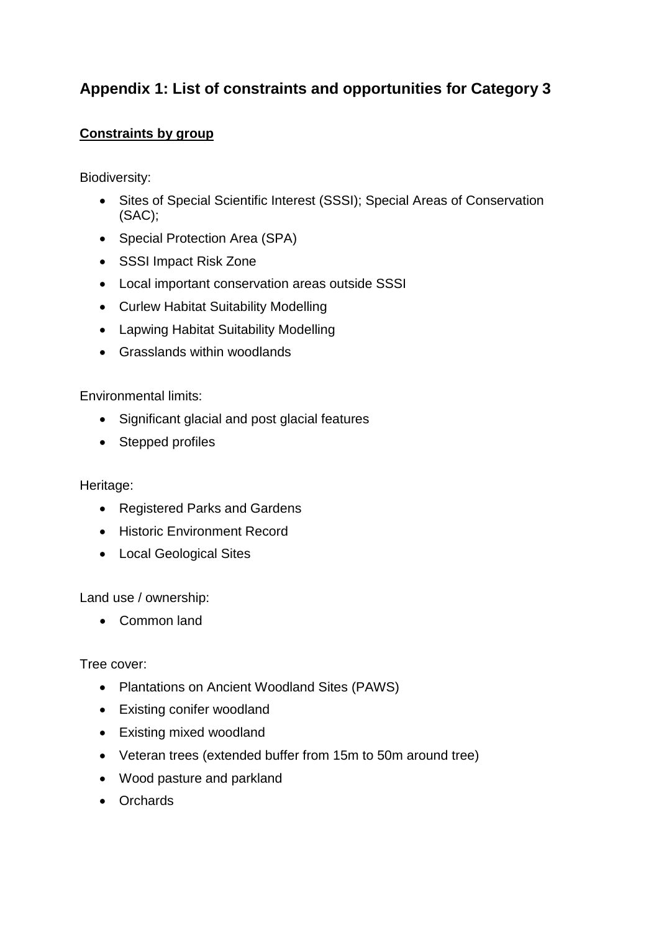## **Appendix 1: List of constraints and opportunities for Category 3**

### **Constraints by group**

Biodiversity:

- Sites of Special Scientific Interest (SSSI); Special Areas of Conservation (SAC);
- Special Protection Area (SPA)
- SSSI Impact Risk Zone
- Local important conservation areas outside SSSI
- Curlew Habitat Suitability Modelling
- Lapwing Habitat Suitability Modelling
- Grasslands within woodlands

### Environmental limits:

- Significant glacial and post glacial features
- Stepped profiles

#### Heritage:

- Registered Parks and Gardens
- **•** Historic Environment Record
- Local Geological Sites

Land use / ownership:

Common land

Tree cover:

- Plantations on Ancient Woodland Sites (PAWS)
- Existing conifer woodland
- Existing mixed woodland
- Veteran trees (extended buffer from 15m to 50m around tree)
- Wood pasture and parkland
- Orchards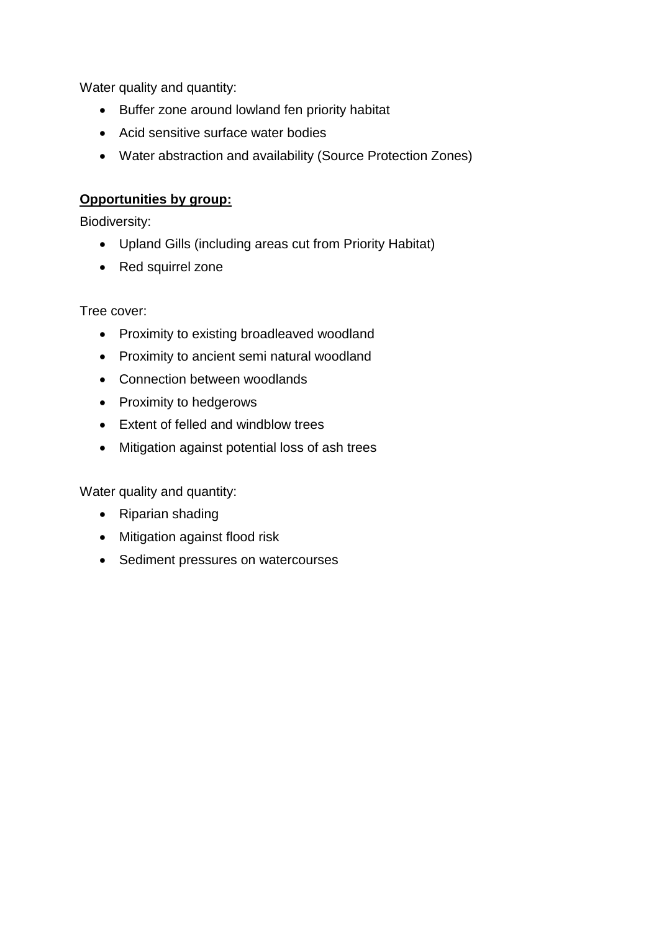Water quality and quantity:

- Buffer zone around lowland fen priority habitat
- Acid sensitive surface water bodies
- Water abstraction and availability (Source Protection Zones)

### **Opportunities by group:**

Biodiversity:

- Upland Gills (including areas cut from Priority Habitat)
- Red squirrel zone

Tree cover:

- Proximity to existing broadleaved woodland
- Proximity to ancient semi natural woodland
- Connection between woodlands
- Proximity to hedgerows
- Extent of felled and windblow trees
- Mitigation against potential loss of ash trees

Water quality and quantity:

- Riparian shading
- Mitigation against flood risk
- Sediment pressures on watercourses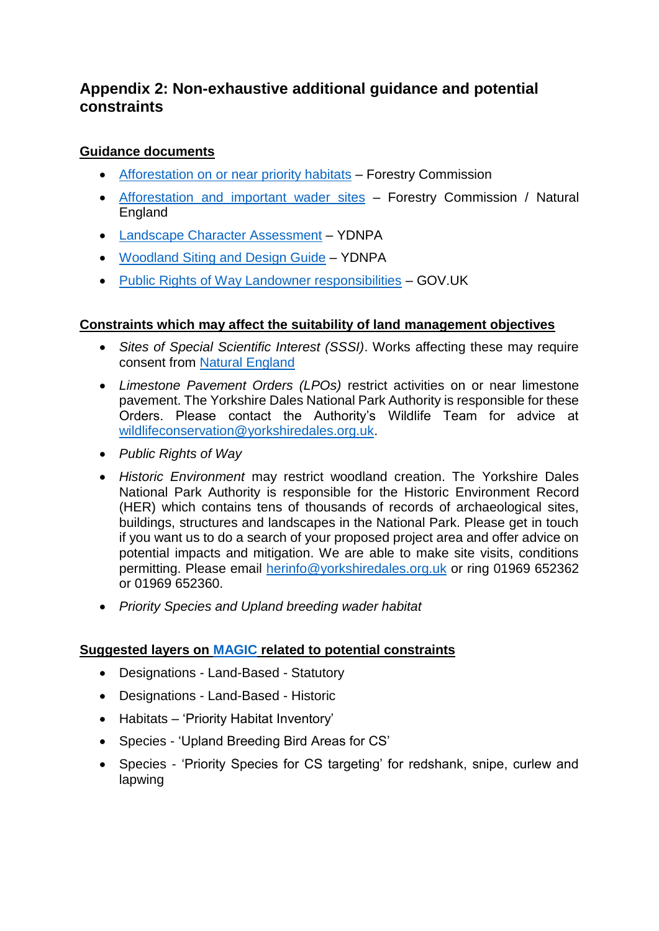## **Appendix 2: Non-exhaustive additional guidance and potential constraints**

### **Guidance documents**

- [Afforestation on or near priority habitats](https://www.gov.uk/government/publications/principles-for-afforestation-on-or-near-priority-habitats-operations-note-43) Forestry Commission
- [Afforestation and important wader sites](https://assets.publishing.service.gov.uk/government/uploads/system/uploads/attachment_data/file/1005883/FC-_NE_Joint_Guidance_Note_-_Afforestation_and_important_wader_sites_FINAL_V8.0_External_Version__JULY_2021___1_.pdf) Forestry Commission / Natural England
- [Landscape Character Assessment](https://www.yorkshiredales.org.uk/about/landscape/landscape-character-assessment/) YDNPA
- [Woodland Siting and Design Guide](https://www.yorkshiredales.org.uk/wp-content/uploads/sites/13/2019/07/Woodland-siting-and-design-guide.pdf) YDNPA
- [Public Rights of Way Landowner responsibilities](https://www.gov.uk/guidance/public-rights-of-way-landowner-responsibilities) GOV.UK

### **Constraints which may affect the suitability of land management objectives**

- *Sites of Special Scientific Interest (SSSI)*. Works affecting these may require consent from [Natural England](https://www.gov.uk/guidance/protected-areas-sites-of-special-scientific-interest#check-if-you-need-consent)
- *Limestone Pavement Orders (LPOs)* restrict activities on or near limestone pavement. The Yorkshire Dales National Park Authority is responsible for these Orders. Please contact the Authority's Wildlife Team for advice at [wildlifeconservation@yorkshiredales.org.uk.](file:///C:/Users/nicolac/Desktop/wildlifeconservation@yorkshiredales.org.uk)
- *Public Rights of Way*
- *Historic Environment* may restrict woodland creation. The Yorkshire Dales National Park Authority is responsible for the Historic Environment Record (HER) which contains tens of thousands of records of archaeological sites, buildings, structures and landscapes in the National Park. Please get in touch if you want us to do a search of your proposed project area and offer advice on potential impacts and mitigation. We are able to make site visits, conditions permitting. Please email [herinfo@yorkshiredales.org.uk](file:///C:/Users/nicolac/Desktop/herinfo@yorkshiredales.org.uk) or ring 01969 652362 or 01969 652360.
- *Priority Species and Upland breeding wader habitat*

### **Suggested layers on [MAGIC](https://magic.defra.gov.uk/) related to potential constraints**

- Designations Land-Based Statutory
- Designations Land-Based Historic
- Habitats 'Priority Habitat Inventory'
- Species 'Upland Breeding Bird Areas for CS'
- Species 'Priority Species for CS targeting' for redshank, snipe, curlew and lapwing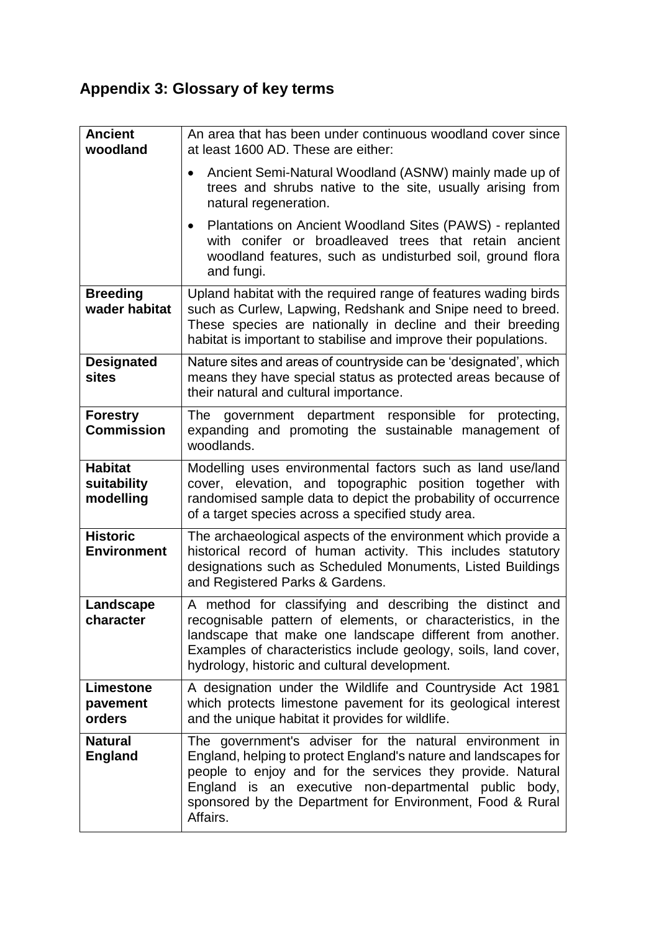# **Appendix 3: Glossary of key terms**

| <b>Ancient</b><br>woodland                 | An area that has been under continuous woodland cover since<br>at least 1600 AD. These are either:                                                                                                                                                                                                                         |
|--------------------------------------------|----------------------------------------------------------------------------------------------------------------------------------------------------------------------------------------------------------------------------------------------------------------------------------------------------------------------------|
|                                            | Ancient Semi-Natural Woodland (ASNW) mainly made up of<br>trees and shrubs native to the site, usually arising from<br>natural regeneration.                                                                                                                                                                               |
|                                            | Plantations on Ancient Woodland Sites (PAWS) - replanted<br>with conifer or broadleaved trees that retain ancient<br>woodland features, such as undisturbed soil, ground flora<br>and fungi.                                                                                                                               |
| <b>Breeding</b><br>wader habitat           | Upland habitat with the required range of features wading birds<br>such as Curlew, Lapwing, Redshank and Snipe need to breed.<br>These species are nationally in decline and their breeding<br>habitat is important to stabilise and improve their populations.                                                            |
| <b>Designated</b><br><b>sites</b>          | Nature sites and areas of countryside can be 'designated', which<br>means they have special status as protected areas because of<br>their natural and cultural importance.                                                                                                                                                 |
| <b>Forestry</b><br><b>Commission</b>       | The government department responsible for protecting,<br>expanding and promoting the sustainable management of<br>woodlands.                                                                                                                                                                                               |
| <b>Habitat</b><br>suitability<br>modelling | Modelling uses environmental factors such as land use/land<br>cover, elevation, and topographic position together with<br>randomised sample data to depict the probability of occurrence<br>of a target species across a specified study area.                                                                             |
| <b>Historic</b><br><b>Environment</b>      | The archaeological aspects of the environment which provide a<br>historical record of human activity. This includes statutory<br>designations such as Scheduled Monuments, Listed Buildings<br>and Registered Parks & Gardens.                                                                                             |
| Landscape<br>character                     | A method for classifying and describing the distinct and<br>recognisable pattern of elements, or characteristics, in the<br>landscape that make one landscape different from another.<br>Examples of characteristics include geology, soils, land cover,<br>hydrology, historic and cultural development.                  |
| Limestone<br>pavement<br>orders            | A designation under the Wildlife and Countryside Act 1981<br>which protects limestone pavement for its geological interest<br>and the unique habitat it provides for wildlife.                                                                                                                                             |
| <b>Natural</b><br><b>England</b>           | The government's adviser for the natural environment in<br>England, helping to protect England's nature and landscapes for<br>people to enjoy and for the services they provide. Natural<br>England is an executive non-departmental public body,<br>sponsored by the Department for Environment, Food & Rural<br>Affairs. |